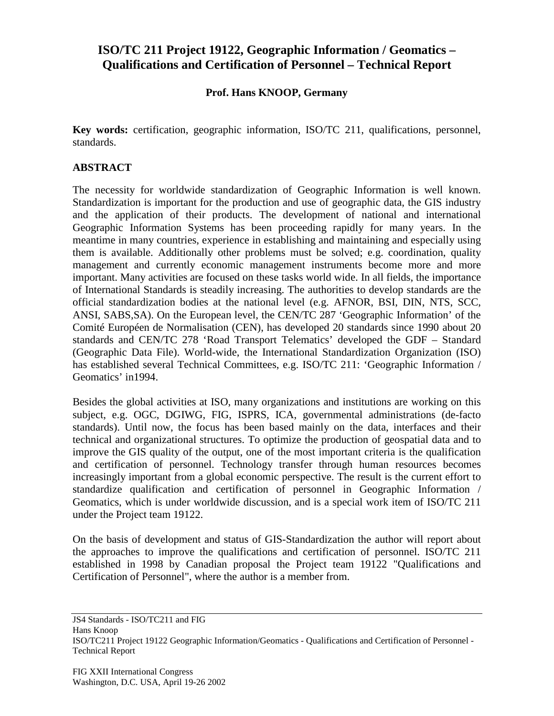## **ISO/TC 211 Project 19122, Geographic Information / Geomatics – Qualifications and Certification of Personnel – Technical Report**

## **Prof. Hans KNOOP, Germany**

**Key words:** certification, geographic information, ISO/TC 211, qualifications, personnel, standards.

## **ABSTRACT**

The necessity for worldwide standardization of Geographic Information is well known. Standardization is important for the production and use of geographic data, the GIS industry and the application of their products. The development of national and international Geographic Information Systems has been proceeding rapidly for many years. In the meantime in many countries, experience in establishing and maintaining and especially using them is available. Additionally other problems must be solved; e.g. coordination, quality management and currently economic management instruments become more and more important. Many activities are focused on these tasks world wide. In all fields, the importance of International Standards is steadily increasing. The authorities to develop standards are the official standardization bodies at the national level (e.g. AFNOR, BSI, DIN, NTS, SCC, ANSI, SABS,SA). On the European level, the CEN/TC 287 'Geographic Information' of the Comité Européen de Normalisation (CEN), has developed 20 standards since 1990 about 20 standards and CEN/TC 278 'Road Transport Telematics' developed the GDF – Standard (Geographic Data File). World-wide, the International Standardization Organization (ISO) has established several Technical Committees, e.g. ISO/TC 211: 'Geographic Information / Geomatics' in1994.

Besides the global activities at ISO, many organizations and institutions are working on this subject, e.g. OGC, DGIWG, FIG, ISPRS, ICA, governmental administrations (de-facto standards). Until now, the focus has been based mainly on the data, interfaces and their technical and organizational structures. To optimize the production of geospatial data and to improve the GIS quality of the output, one of the most important criteria is the qualification and certification of personnel. Technology transfer through human resources becomes increasingly important from a global economic perspective. The result is the current effort to standardize qualification and certification of personnel in Geographic Information / Geomatics, which is under worldwide discussion, and is a special work item of ISO/TC 211 under the Project team 19122.

On the basis of development and status of GIS-Standardization the author will report about the approaches to improve the qualifications and certification of personnel. ISO/TC 211 established in 1998 by Canadian proposal the Project team 19122 "Qualifications and Certification of Personnel", where the author is a member from.

JS4 Standards - ISO/TC211 and FIG Hans Knoop ISO/TC211 Project 19122 Geographic Information/Geomatics - Qualifications and Certification of Personnel - Technical Report